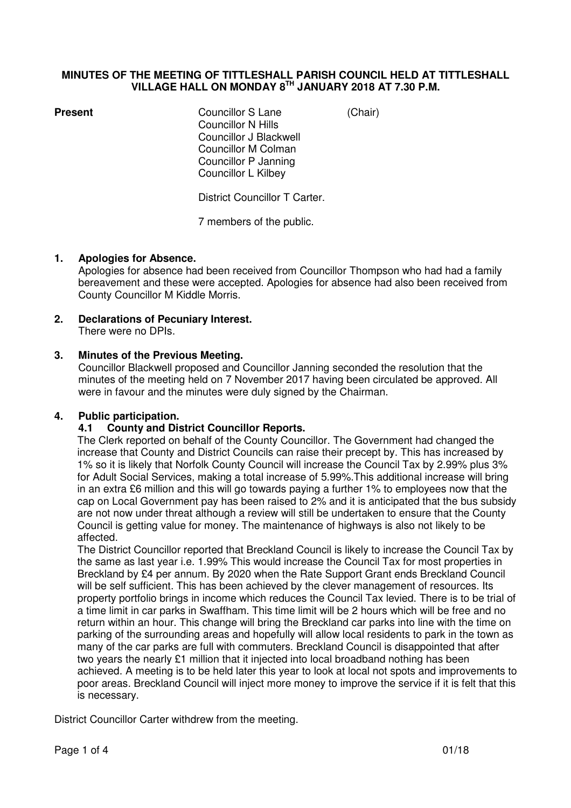#### **MINUTES OF THE MEETING OF TITTLESHALL PARISH COUNCIL HELD AT TITTLESHALL VILLAGE HALL ON MONDAY 8TH JANUARY 2018 AT 7.30 P.M.**

**Present Councillor S Lane** (Chair) Councillor N Hills Councillor J Blackwell Councillor M Colman Councillor P Janning Councillor L Kilbey

District Councillor T Carter.

7 members of the public.

#### **1. Apologies for Absence.**

Apologies for absence had been received from Councillor Thompson who had had a family bereavement and these were accepted. Apologies for absence had also been received from County Councillor M Kiddle Morris.

**2. Declarations of Pecuniary Interest.**  There were no DPIs.

#### **3. Minutes of the Previous Meeting.**

Councillor Blackwell proposed and Councillor Janning seconded the resolution that the minutes of the meeting held on 7 November 2017 having been circulated be approved. All were in favour and the minutes were duly signed by the Chairman.

#### **4. Public participation.**

#### **4.1 County and District Councillor Reports.**

The Clerk reported on behalf of the County Councillor. The Government had changed the increase that County and District Councils can raise their precept by. This has increased by 1% so it is likely that Norfolk County Council will increase the Council Tax by 2.99% plus 3% for Adult Social Services, making a total increase of 5.99%.This additional increase will bring in an extra £6 million and this will go towards paying a further 1% to employees now that the cap on Local Government pay has been raised to 2% and it is anticipated that the bus subsidy are not now under threat although a review will still be undertaken to ensure that the County Council is getting value for money. The maintenance of highways is also not likely to be affected.

The District Councillor reported that Breckland Council is likely to increase the Council Tax by the same as last year i.e. 1.99% This would increase the Council Tax for most properties in Breckland by £4 per annum. By 2020 when the Rate Support Grant ends Breckland Council will be self sufficient. This has been achieved by the clever management of resources. Its property portfolio brings in income which reduces the Council Tax levied. There is to be trial of a time limit in car parks in Swaffham. This time limit will be 2 hours which will be free and no return within an hour. This change will bring the Breckland car parks into line with the time on parking of the surrounding areas and hopefully will allow local residents to park in the town as many of the car parks are full with commuters. Breckland Council is disappointed that after two years the nearly £1 million that it injected into local broadband nothing has been achieved. A meeting is to be held later this year to look at local not spots and improvements to poor areas. Breckland Council will inject more money to improve the service if it is felt that this is necessary.

District Councillor Carter withdrew from the meeting.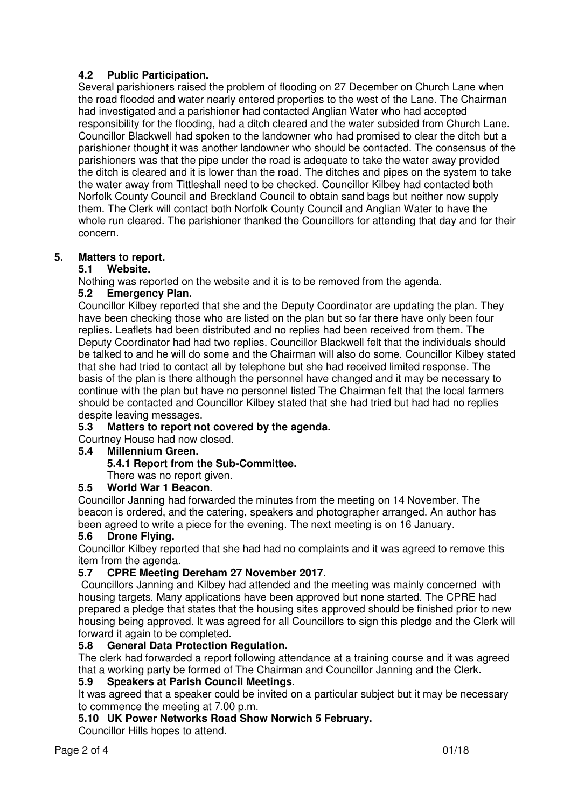# **4.2 Public Participation.**

Several parishioners raised the problem of flooding on 27 December on Church Lane when the road flooded and water nearly entered properties to the west of the Lane. The Chairman had investigated and a parishioner had contacted Anglian Water who had accepted responsibility for the flooding, had a ditch cleared and the water subsided from Church Lane. Councillor Blackwell had spoken to the landowner who had promised to clear the ditch but a parishioner thought it was another landowner who should be contacted. The consensus of the parishioners was that the pipe under the road is adequate to take the water away provided the ditch is cleared and it is lower than the road. The ditches and pipes on the system to take the water away from Tittleshall need to be checked. Councillor Kilbey had contacted both Norfolk County Council and Breckland Council to obtain sand bags but neither now supply them. The Clerk will contact both Norfolk County Council and Anglian Water to have the whole run cleared. The parishioner thanked the Councillors for attending that day and for their concern.

## **5. Matters to report.**

## **5.1 Website.**

Nothing was reported on the website and it is to be removed from the agenda.

## **5.2 Emergency Plan.**

Councillor Kilbey reported that she and the Deputy Coordinator are updating the plan. They have been checking those who are listed on the plan but so far there have only been four replies. Leaflets had been distributed and no replies had been received from them. The Deputy Coordinator had had two replies. Councillor Blackwell felt that the individuals should be talked to and he will do some and the Chairman will also do some. Councillor Kilbey stated that she had tried to contact all by telephone but she had received limited response. The basis of the plan is there although the personnel have changed and it may be necessary to continue with the plan but have no personnel listed The Chairman felt that the local farmers should be contacted and Councillor Kilbey stated that she had tried but had had no replies despite leaving messages.

## **5.3 Matters to report not covered by the agenda.**

Courtney House had now closed.

## **5.4 Millennium Green.**

## **5.4.1 Report from the Sub-Committee.**

There was no report given.

## **5.5 World War 1 Beacon.**

Councillor Janning had forwarded the minutes from the meeting on 14 November. The beacon is ordered, and the catering, speakers and photographer arranged. An author has been agreed to write a piece for the evening. The next meeting is on 16 January.

## **5.6 Drone Flying.**

Councillor Kilbey reported that she had had no complaints and it was agreed to remove this item from the agenda.

## **5.7 CPRE Meeting Dereham 27 November 2017.**

 Councillors Janning and Kilbey had attended and the meeting was mainly concerned with housing targets. Many applications have been approved but none started. The CPRE had prepared a pledge that states that the housing sites approved should be finished prior to new housing being approved. It was agreed for all Councillors to sign this pledge and the Clerk will forward it again to be completed.

## **5.8 General Data Protection Regulation.**

The clerk had forwarded a report following attendance at a training course and it was agreed that a working party be formed of The Chairman and Councillor Janning and the Clerk.

## **5.9 Speakers at Parish Council Meetings.**

It was agreed that a speaker could be invited on a particular subject but it may be necessary to commence the meeting at 7.00 p.m.

## **5.10 UK Power Networks Road Show Norwich 5 February.**

Councillor Hills hopes to attend.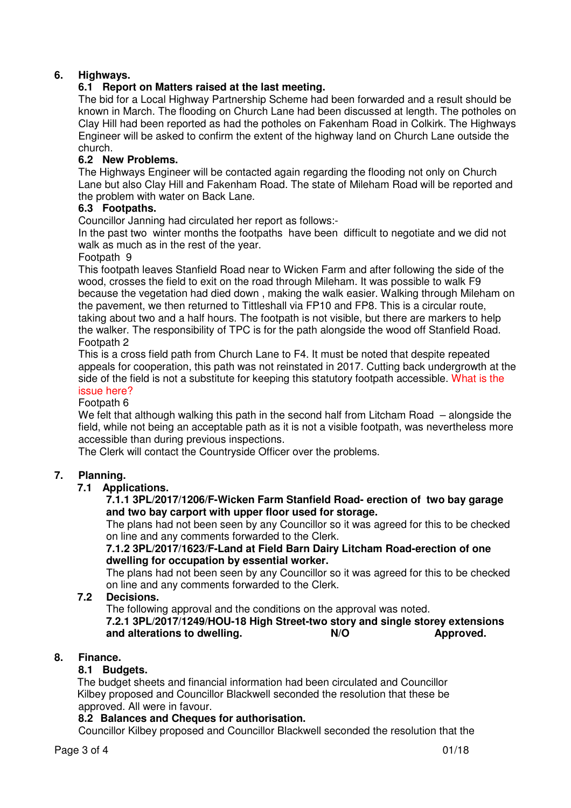# **6. Highways.**

## **6.1 Report on Matters raised at the last meeting.**

The bid for a Local Highway Partnership Scheme had been forwarded and a result should be known in March. The flooding on Church Lane had been discussed at length. The potholes on Clay Hill had been reported as had the potholes on Fakenham Road in Colkirk. The Highways Engineer will be asked to confirm the extent of the highway land on Church Lane outside the church.

## **6.2 New Problems.**

The Highways Engineer will be contacted again regarding the flooding not only on Church Lane but also Clay Hill and Fakenham Road. The state of Mileham Road will be reported and the problem with water on Back Lane.

## **6.3 Footpaths.**

Councillor Janning had circulated her report as follows:-

In the past two winter months the footpaths have been difficult to negotiate and we did not walk as much as in the rest of the year.

#### Footpath 9

This footpath leaves Stanfield Road near to Wicken Farm and after following the side of the wood, crosses the field to exit on the road through Mileham. It was possible to walk F9 because the vegetation had died down , making the walk easier. Walking through Mileham on the pavement, we then returned to Tittleshall via FP10 and FP8. This is a circular route, taking about two and a half hours. The footpath is not visible, but there are markers to help the walker. The responsibility of TPC is for the path alongside the wood off Stanfield Road. Footpath 2

This is a cross field path from Church Lane to F4. It must be noted that despite repeated appeals for cooperation, this path was not reinstated in 2017. Cutting back undergrowth at the side of the field is not a substitute for keeping this statutory footpath accessible. What is the issue here?

#### Footpath 6

We felt that although walking this path in the second half from Litcham Road – alongside the field, while not being an acceptable path as it is not a visible footpath, was nevertheless more accessible than during previous inspections.

The Clerk will contact the Countryside Officer over the problems.

## **7. Planning.**

## **7.1 Applications.**

#### **7.1.1 3PL/2017/1206/F-Wicken Farm Stanfield Road- erection of two bay garage and two bay carport with upper floor used for storage.**

The plans had not been seen by any Councillor so it was agreed for this to be checked on line and any comments forwarded to the Clerk.

#### **7.1.2 3PL/2017/1623/F-Land at Field Barn Dairy Litcham Road-erection of one dwelling for occupation by essential worker.**

The plans had not been seen by any Councillor so it was agreed for this to be checked on line and any comments forwarded to the Clerk.

## **7.2 Decisions.**

The following approval and the conditions on the approval was noted.  **7.2.1 3PL/2017/1249/HOU-18 High Street-two story and single storey extensions and alterations to dwelling. N/O Approved.** 

## **8. Finance.**

#### **8.1 Budgets.**

The budget sheets and financial information had been circulated and Councillor Kilbey proposed and Councillor Blackwell seconded the resolution that these be approved. All were in favour.

#### **8.2 Balances and Cheques for authorisation.**

Councillor Kilbey proposed and Councillor Blackwell seconded the resolution that the